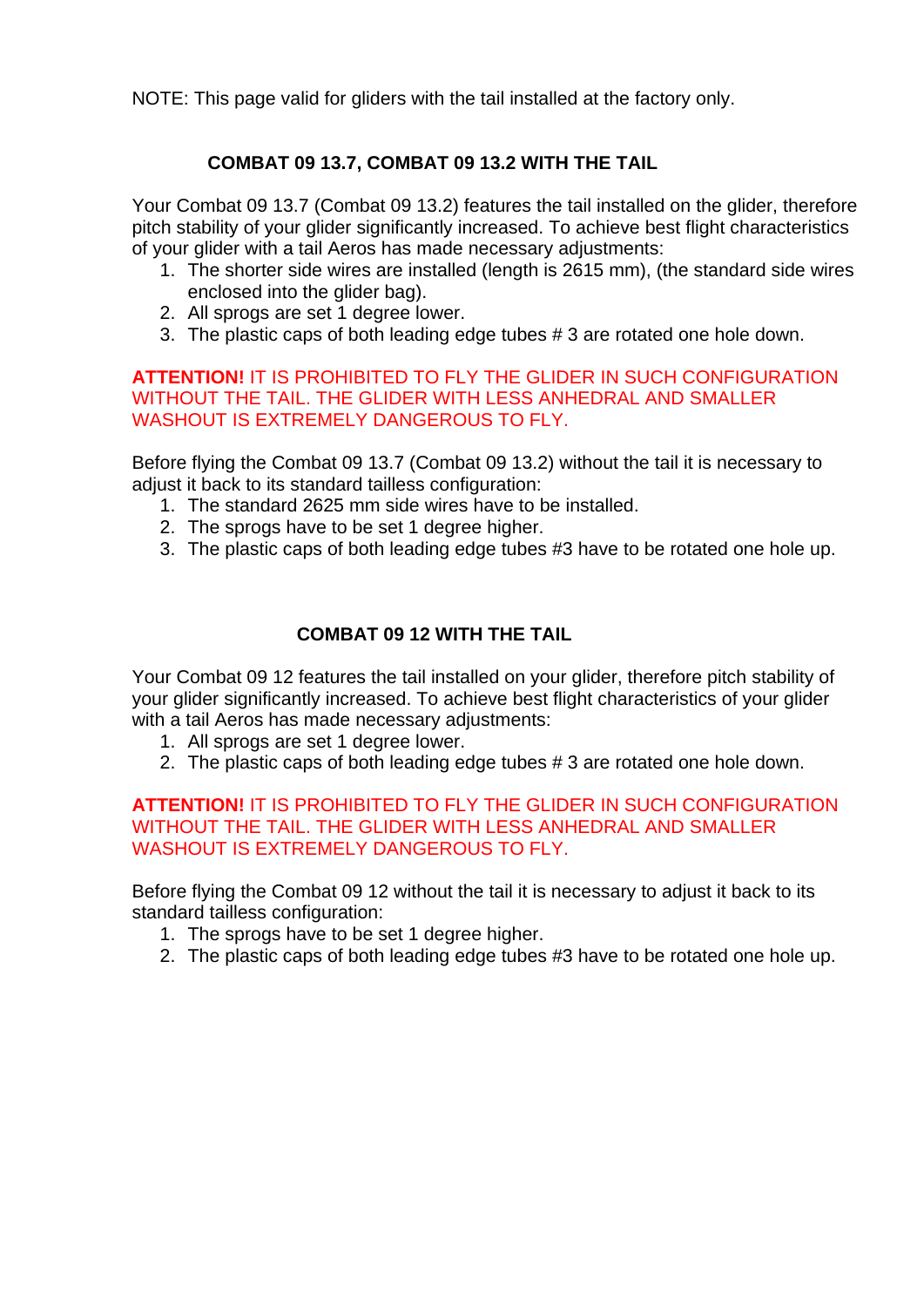NOTE: This page valid for gliders with the tail installed at the factory only.

# **COMBAT 09 13.7, COMBAT 09 13.2 WITH THE TAIL**

Your Combat 09 13.7 (Combat 09 13.2) features the tail installed on the glider, therefore pitch stability of your glider significantly increased. To achieve best flight characteristics of your glider with a tail Aeros has made necessary adjustments:

- 1. The shorter side wires are installed (length is 2615 mm), (the standard side wires enclosed into the glider bag).
- 2. All sprogs are set 1 degree lower.
- 3. The plastic caps of both leading edge tubes # 3 are rotated one hole down.

#### **ATTENTION!** IT IS PROHIBITED TO FLY THE GLIDER IN SUCH CONFIGURATION WITHOUT THE TAIL. THE GLIDER WITH LESS ANHEDRAL AND SMALLER WASHOUT IS EXTREMELY DANGEROUS TO FLY.

Before flying the Combat 09 13.7 (Combat 09 13.2) without the tail it is necessary to adjust it back to its standard tailless configuration:

- 1. The standard 2625 mm side wires have to be installed.
- 2. The sprogs have to be set 1 degree higher.
- 3. The plastic caps of both leading edge tubes #3 have to be rotated one hole up.

# **COMBAT 09 12 WITH THE TAIL**

Your Combat 09 12 features the tail installed on your glider, therefore pitch stability of your glider significantly increased. To achieve best flight characteristics of your glider with a tail Aeros has made necessary adjustments:

- 1. All sprogs are set 1 degree lower.
- 2. The plastic caps of both leading edge tubes # 3 are rotated one hole down.

#### **ATTENTION!** IT IS PROHIBITED TO FLY THE GLIDER IN SUCH CONFIGURATION WITHOUT THE TAIL. THE GLIDER WITH LESS ANHEDRAL AND SMALLER WASHOUT IS EXTREMELY DANGEROUS TO FLY.

Before flying the Combat 09 12 without the tail it is necessary to adjust it back to its standard tailless configuration:

- 1. The sprogs have to be set 1 degree higher.
- 2. The plastic caps of both leading edge tubes #3 have to be rotated one hole up.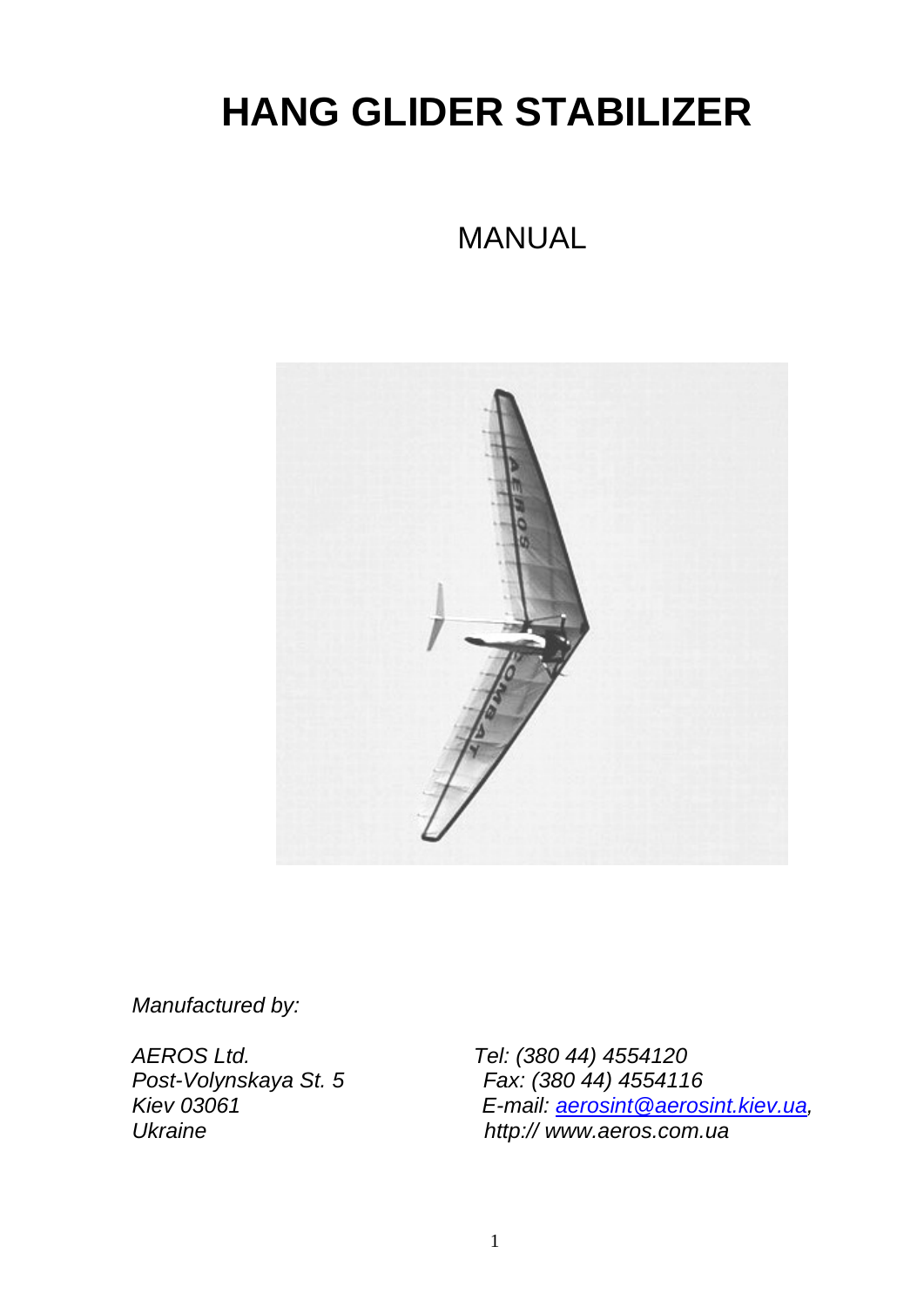# **HANG GLIDER STABILIZER**

# MANUAL



*Manufactured by:* 

*AEROS Ltd. Tel: (380 44) 4554120 Post-Volynskaya St. 5 Fax: (380 44) 4554116 Kiev 03061 E-mail: [aerosint@aerosint.kiev.ua](mailto:aerosint@aerosint.kiev.ua), Ukraine http:// www.aeros.com.ua*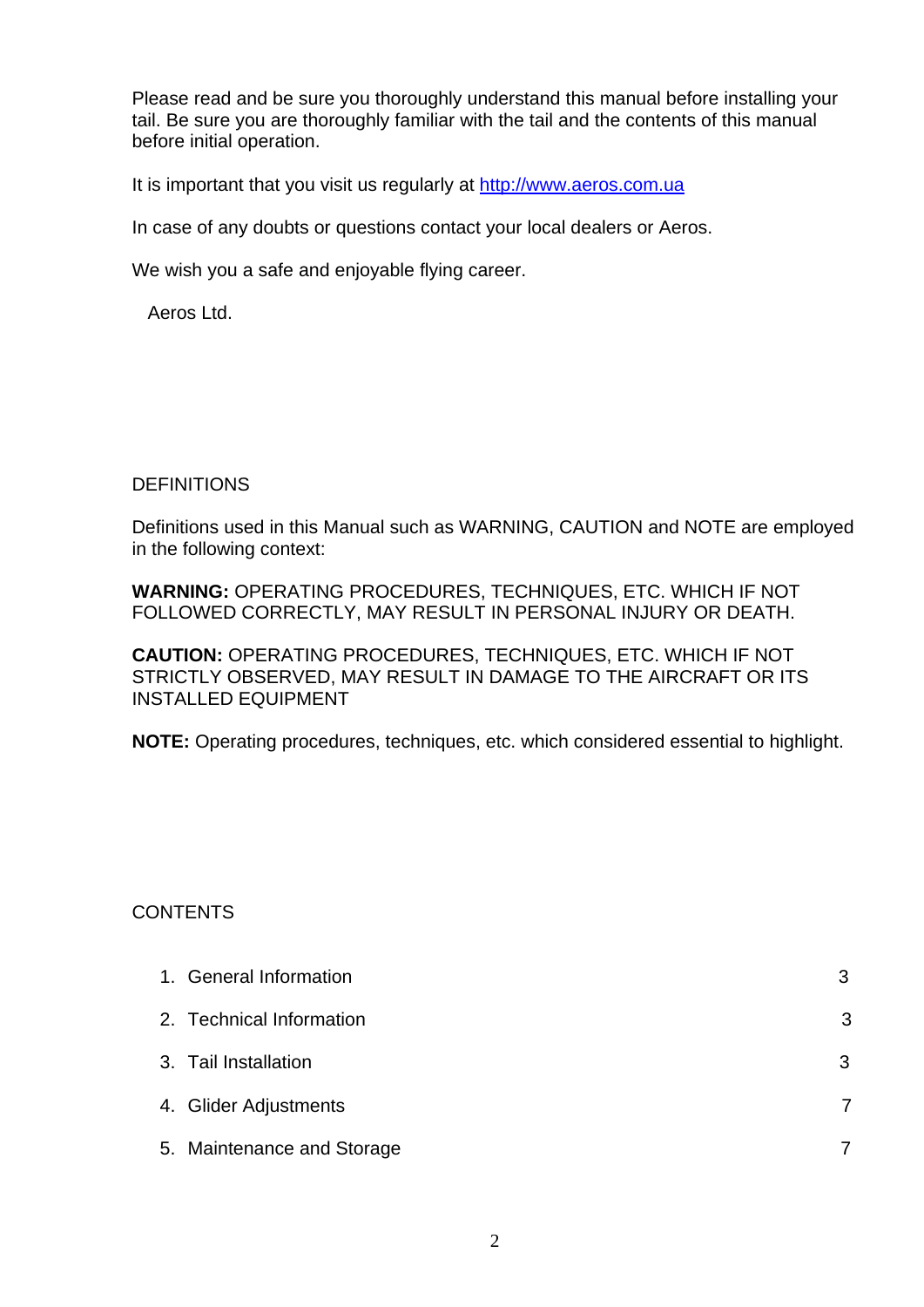Please read and be sure you thoroughly understand this manual before installing your tail. Be sure you are thoroughly familiar with the tail and the contents of this manual before initial operation.

It is important that you visit us regularly at [http://www.aeros.com.ua](http://www.aeros.com.ua/)

In case of any doubts or questions contact your local dealers or Aeros.

We wish you a safe and enjoyable flying career.

Aeros Ltd.

#### **DEFINITIONS**

Definitions used in this Manual such as WARNING, CAUTION and NOTE are employed in the following context:

**WARNING:** OPERATING PROCEDURES, TECHNIQUES, ETC. WHICH IF NOT FOLLOWED CORRECTLY, MAY RESULT IN PERSONAL INJURY OR DEATH.

**CAUTION:** OPERATING PROCEDURES, TECHNIQUES, ETC. WHICH IF NOT STRICTLY OBSERVED, MAY RESULT IN DAMAGE TO THE AIRCRAFT OR ITS INSTALLED EQUIPMENT

**NOTE:** Operating procedures, techniques, etc. which considered essential to highlight.

#### CONTENTS

| 1. General Information     | 3 |
|----------------------------|---|
| 2. Technical Information   | 3 |
| 3. Tail Installation       | 3 |
| 4. Glider Adjustments      |   |
| 5. Maintenance and Storage |   |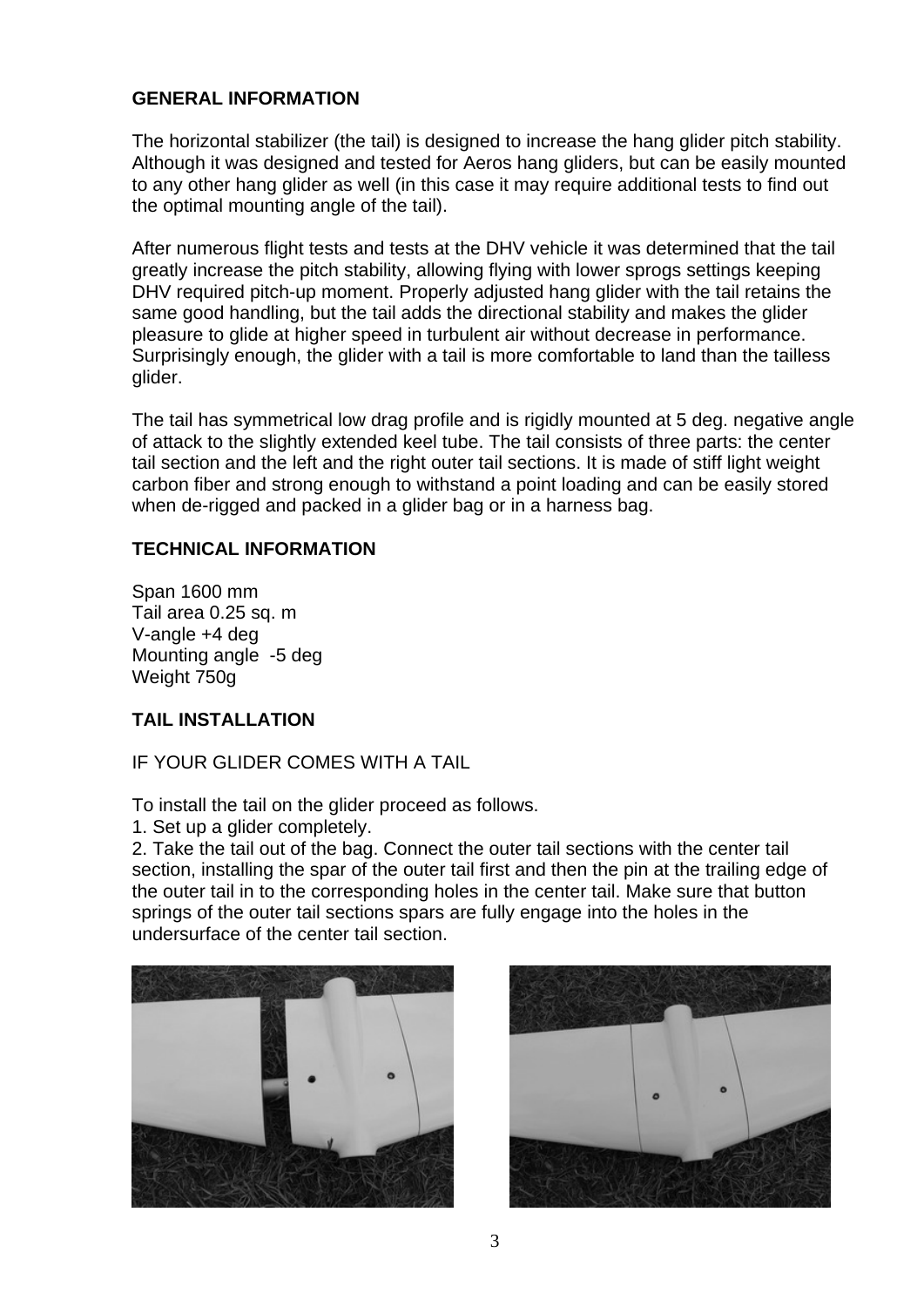#### **GENERAL INFORMATION**

The horizontal stabilizer (the tail) is designed to increase the hang glider pitch stability. Although it was designed and tested for Aeros hang gliders, but can be easily mounted to any other hang glider as well (in this case it may require additional tests to find out the optimal mounting angle of the tail).

After numerous flight tests and tests at the DHV vehicle it was determined that the tail greatly increase the pitch stability, allowing flying with lower sprogs settings keeping DHV required pitch-up moment. Properly adjusted hang glider with the tail retains the same good handling, but the tail adds the directional stability and makes the glider pleasure to glide at higher speed in turbulent air without decrease in performance. Surprisingly enough, the glider with a tail is more comfortable to land than the tailless glider.

The tail has symmetrical low drag profile and is rigidly mounted at 5 deg. negative angle of attack to the slightly extended keel tube. The tail consists of three parts: the center tail section and the left and the right outer tail sections. It is made of stiff light weight carbon fiber and strong enough to withstand a point loading and can be easily stored when de-rigged and packed in a glider bag or in a harness bag.

#### **TECHNICAL INFORMATION**

Span 1600 mm Tail area 0.25 sq. m V-angle +4 deg Mounting angle -5 deg Weight 750g

# **TAIL INSTALLATION**

IF YOUR GLIDER COMES WITH A TAIL

To install the tail on the glider proceed as follows.

1. Set up a glider completely.

2. Take the tail out of the bag. Connect the outer tail sections with the center tail section, installing the spar of the outer tail first and then the pin at the trailing edge of the outer tail in to the corresponding holes in the center tail. Make sure that button springs of the outer tail sections spars are fully engage into the holes in the undersurface of the center tail section.



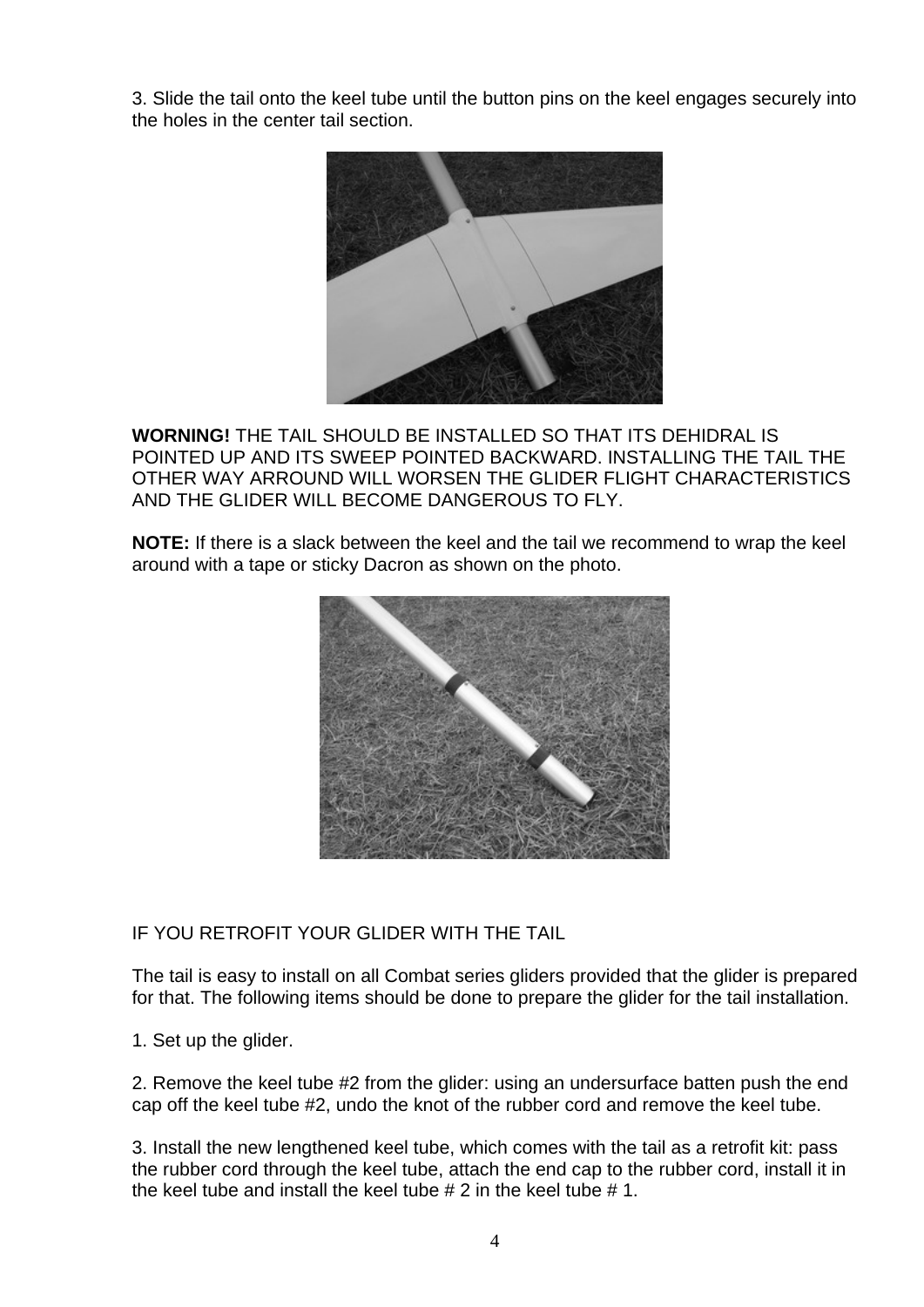3. Slide the tail onto the keel tube until the button pins on the keel engages securely into the holes in the center tail section.



**WORNING!** THE TAIL SHOULD BE INSTALLED SO THAT ITS DEHIDRAL IS POINTED UP AND ITS SWEEP POINTED BACKWARD. INSTALLING THE TAIL THE OTHER WAY ARROUND WILL WORSEN THE GLIDER FLIGHT CHARACTERISTICS AND THE GLIDER WILL BECOME DANGEROUS TO FLY.

**NOTE:** If there is a slack between the keel and the tail we recommend to wrap the keel around with a tape or sticky Dacron as shown on the photo.



IF YOU RETROFIT YOUR GLIDER WITH THE TAIL

The tail is easy to install on all Combat series gliders provided that the glider is prepared for that. The following items should be done to prepare the glider for the tail installation.

1. Set up the glider.

2. Remove the keel tube #2 from the glider: using an undersurface batten push the end cap off the keel tube #2, undo the knot of the rubber cord and remove the keel tube.

3. Install the new lengthened keel tube, which comes with the tail as a retrofit kit: pass the rubber cord through the keel tube, attach the end cap to the rubber cord, install it in the keel tube and install the keel tube # 2 in the keel tube # 1.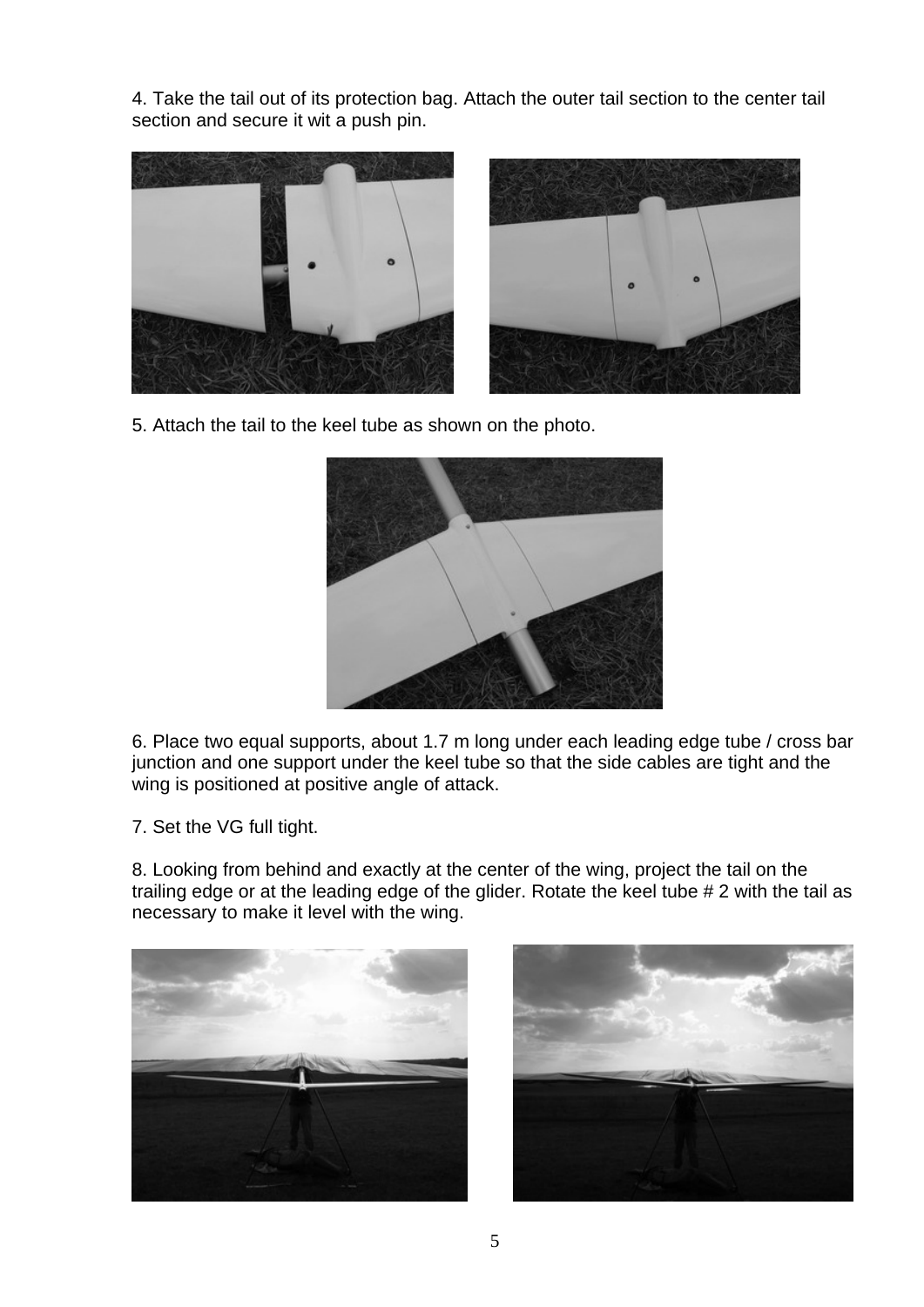4. Take the tail out of its protection bag. Attach the outer tail section to the center tail section and secure it wit a push pin.





5. Attach the tail to the keel tube as shown on the photo.



6. Place two equal supports, about 1.7 m long under each leading edge tube / cross bar junction and one support under the keel tube so that the side cables are tight and the wing is positioned at positive angle of attack.

7. Set the VG full tight.

8. Looking from behind and exactly at the center of the wing, project the tail on the trailing edge or at the leading edge of the glider. Rotate the keel tube # 2 with the tail as necessary to make it level with the wing.



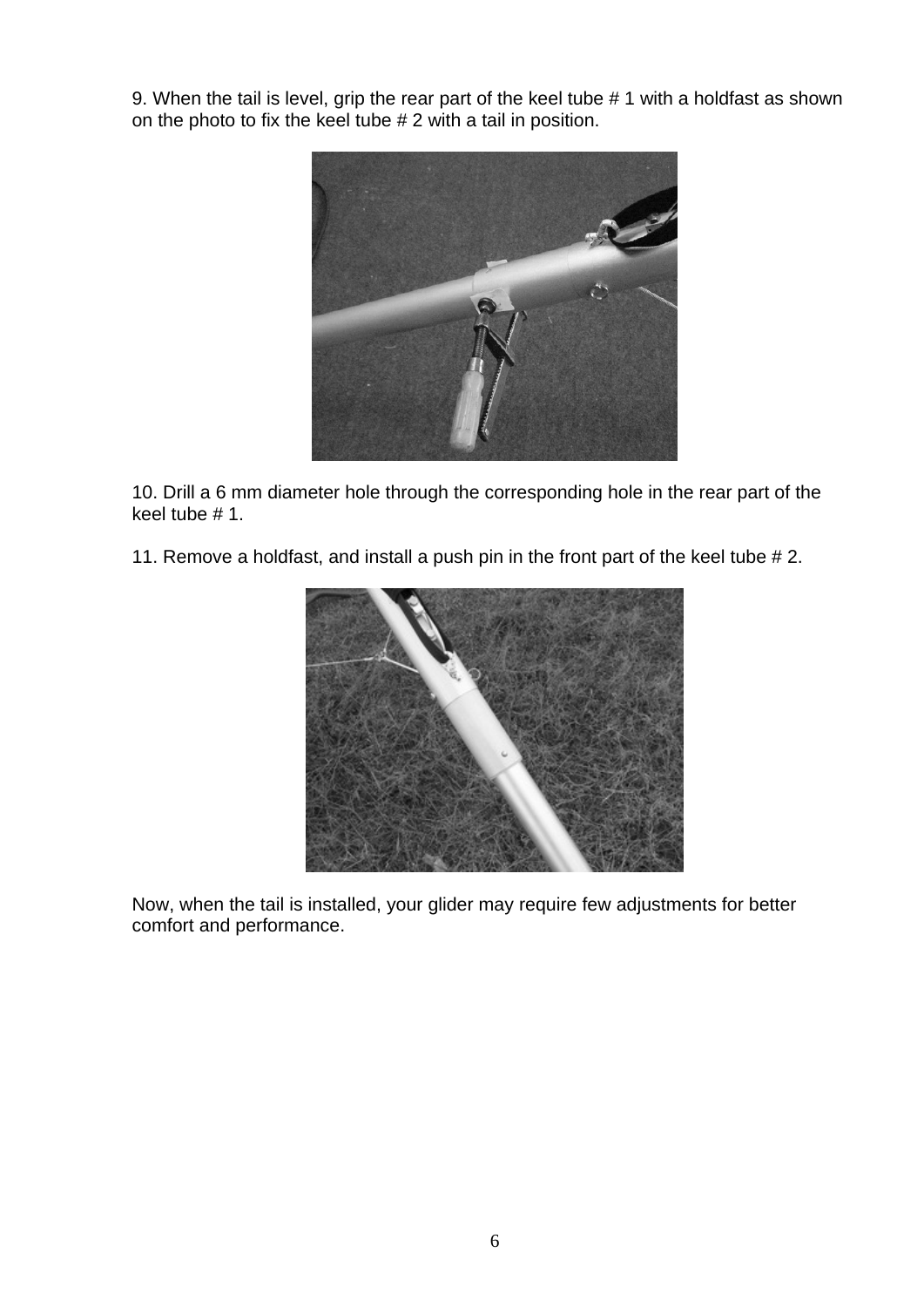9. When the tail is level, grip the rear part of the keel tube # 1 with a holdfast as shown on the photo to fix the keel tube # 2 with a tail in position.



10. Drill a 6 mm diameter hole through the corresponding hole in the rear part of the keel tube # 1.

11. Remove a holdfast, and install a push pin in the front part of the keel tube # 2.



Now, when the tail is installed, your glider may require few adjustments for better comfort and performance.